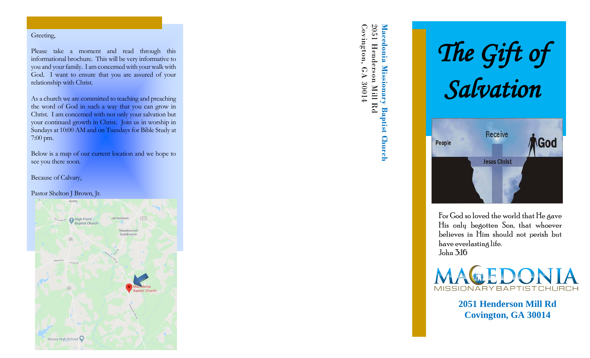## Greeting,

Please take a moment and read through this informational brochure. This will be very informative to you and your family. I am concerned with your walk with God. I want to ensure that you are assured of your relationship with Christ.

As a church we are committed to teaching and preaching the word of God in such a way that you can grow in Christ. I am concerned with not only your salvation but your continued growth in Christ. Join us in worship in Sundays at 10:00 AM and on Tuesdays for Bible Study at 7:00 pm.

Below is a map of our current location and we hope to see you there soon.

Because of Calvary,

## Pastor Shelton J Brown, Jr.



Covington, GA 30014 Macedonia Missionary B<br>2051 Henderson Mill Rd Covington, GA 2051 Henderson Mill Rd **Macedonia Missionary** Missionary Baptist Church **Baptist Church**



For God so loved the world that He gave His only begotten Son, that whoever believes in Him should not perish but have everlasting life. John 3:16



**2051 Henderson Mill Rd Covington, GA 30014**